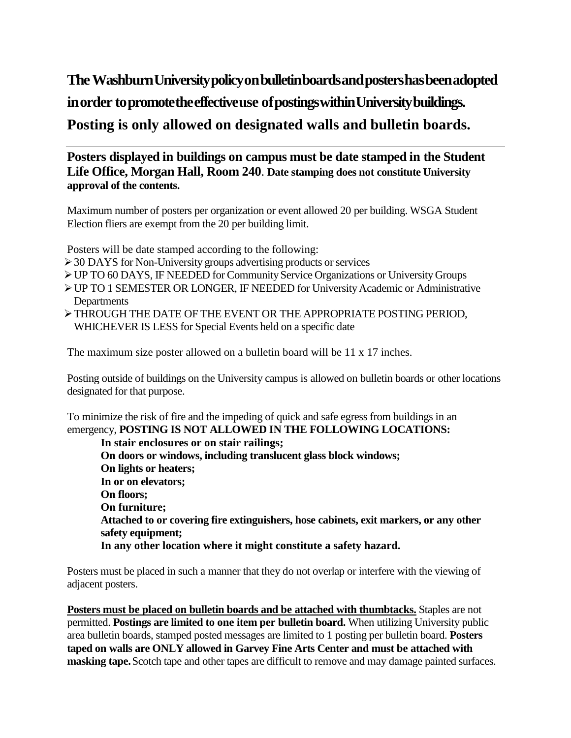## **TheWashburnUniversitypolicyonbulletinboardsandpostershasbeenadopted inorder topromotetheeffectiveuse ofpostingswithinUniversitybuildings. Posting is only allowed on designated walls and bulletin boards.**

## **Posters displayed in buildings on campus must be date stamped in the Student Life Office, Morgan Hall, Room 240**. **Date stamping does not constitute University approval of the contents.**

Maximum number of posters per organization or event allowed 20 per building. WSGA Student Election fliers are exempt from the 20 per building limit.

Posters will be date stamped according to the following:

- $\geq$  30 DAYS for Non-University groups advertising products or services
- UP TO 60 DAYS, IF NEEDED for CommunityService Organizations or UniversityGroups
- UP TO 1 SEMESTER OR LONGER, IF NEEDED for UniversityAcademic or Administrative **Departments**
- THROUGH THE DATE OF THE EVENT OR THE APPROPRIATE POSTING PERIOD, WHICHEVER IS LESS for Special Events held on a specific date

The maximum size poster allowed on a bulletin board will be 11 x 17 inches.

Posting outside of buildings on the University campus is allowed on bulletin boards or other locations designated for that purpose.

To minimize the risk of fire and the impeding of quick and safe egress from buildings in an emergency, **POSTING IS NOT ALLOWED IN THE FOLLOWING LOCATIONS:**

**In stair enclosures or on stair railings; On doors or windows, including translucent glass block windows; On lights or heaters; In or on elevators; On floors; On furniture; Attached to or covering fire extinguishers, hose cabinets, exit markers, or any other safety equipment; In any other location where it might constitute a safety hazard.**

Posters must be placed in such a manner that they do not overlap or interfere with the viewing of adjacent posters.

**Posters must be placed on bulletin boards and be attached with thumbtacks.** Staples are not permitted. **Postings are limited to one item per bulletin board.** When utilizing University public area bulletin boards, stamped posted messages are limited to 1 posting per bulletin board. **Posters taped on walls are ONLY allowed in Garvey Fine Arts Center and must be attached with masking tape.**Scotch tape and other tapes are difficult to remove and may damage painted surfaces.